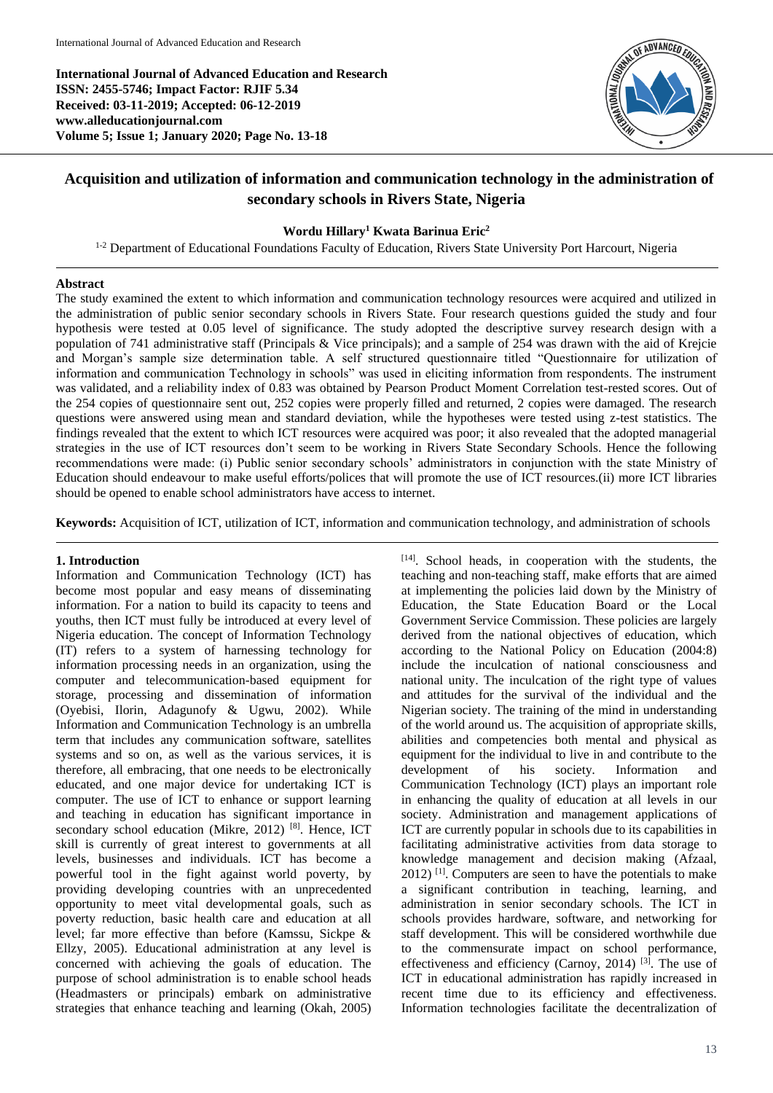**International Journal of Advanced Education and Research ISSN: 2455-5746; Impact Factor: RJIF 5.34 Received: 03-11-2019; Accepted: 06-12-2019 www.alleducationjournal.com Volume 5; Issue 1; January 2020; Page No. 13-18**



# **Acquisition and utilization of information and communication technology in the administration of secondary schools in Rivers State, Nigeria**

# **Wordu Hillary<sup>1</sup> Kwata Barinua Eric<sup>2</sup>**

<sup>1-2</sup> Department of Educational Foundations Faculty of Education, Rivers State University Port Harcourt, Nigeria

## **Abstract**

The study examined the extent to which information and communication technology resources were acquired and utilized in the administration of public senior secondary schools in Rivers State. Four research questions guided the study and four hypothesis were tested at 0.05 level of significance. The study adopted the descriptive survey research design with a population of 741 administrative staff (Principals & Vice principals); and a sample of 254 was drawn with the aid of Krejcie and Morgan's sample size determination table. A self structured questionnaire titled "Questionnaire for utilization of information and communication Technology in schools" was used in eliciting information from respondents. The instrument was validated, and a reliability index of 0.83 was obtained by Pearson Product Moment Correlation test-rested scores. Out of the 254 copies of questionnaire sent out, 252 copies were properly filled and returned, 2 copies were damaged. The research questions were answered using mean and standard deviation, while the hypotheses were tested using z-test statistics. The findings revealed that the extent to which ICT resources were acquired was poor; it also revealed that the adopted managerial strategies in the use of ICT resources don't seem to be working in Rivers State Secondary Schools. Hence the following recommendations were made: (i) Public senior secondary schools' administrators in conjunction with the state Ministry of Education should endeavour to make useful efforts/polices that will promote the use of ICT resources.(ii) more ICT libraries should be opened to enable school administrators have access to internet.

**Keywords:** Acquisition of ICT, utilization of ICT, information and communication technology, and administration of schools

## **1. Introduction**

Information and Communication Technology (ICT) has become most popular and easy means of disseminating information. For a nation to build its capacity to teens and youths, then ICT must fully be introduced at every level of Nigeria education. The concept of Information Technology (IT) refers to a system of harnessing technology for information processing needs in an organization, using the computer and telecommunication-based equipment for storage, processing and dissemination of information (Oyebisi, Ilorin, Adagunofy & Ugwu, 2002). While Information and Communication Technology is an umbrella term that includes any communication software, satellites systems and so on, as well as the various services, it is therefore, all embracing, that one needs to be electronically educated, and one major device for undertaking ICT is computer. The use of ICT to enhance or support learning and teaching in education has significant importance in secondary school education (Mikre, 2012)<sup>[8]</sup>. Hence, ICT skill is currently of great interest to governments at all levels, businesses and individuals. ICT has become a powerful tool in the fight against world poverty, by providing developing countries with an unprecedented opportunity to meet vital developmental goals, such as poverty reduction, basic health care and education at all level; far more effective than before (Kamssu, Sickpe & Ellzy, 2005). Educational administration at any level is concerned with achieving the goals of education. The purpose of school administration is to enable school heads (Headmasters or principals) embark on administrative strategies that enhance teaching and learning (Okah, 2005) [14]. School heads, in cooperation with the students, the teaching and non-teaching staff, make efforts that are aimed at implementing the policies laid down by the Ministry of Education, the State Education Board or the Local Government Service Commission. These policies are largely derived from the national objectives of education, which according to the National Policy on Education (2004:8) include the inculcation of national consciousness and national unity. The inculcation of the right type of values and attitudes for the survival of the individual and the Nigerian society. The training of the mind in understanding of the world around us. The acquisition of appropriate skills, abilities and competencies both mental and physical as equipment for the individual to live in and contribute to the development of his society*.* Information and Communication Technology (ICT) plays an important role in enhancing the quality of education at all levels in our society. Administration and management applications of ICT are currently popular in schools due to its capabilities in facilitating administrative activities from data storage to knowledge management and decision making (Afzaal, 2012) [1] . Computers are seen to have the potentials to make a significant contribution in teaching, learning, and administration in senior secondary schools. The ICT in schools provides hardware, software, and networking for staff development. This will be considered worthwhile due to the commensurate impact on school performance, effectiveness and efficiency (Carnoy, 2014)  $^{[3]}$ . The use of ICT in educational administration has rapidly increased in recent time due to its efficiency and effectiveness. Information technologies facilitate the decentralization of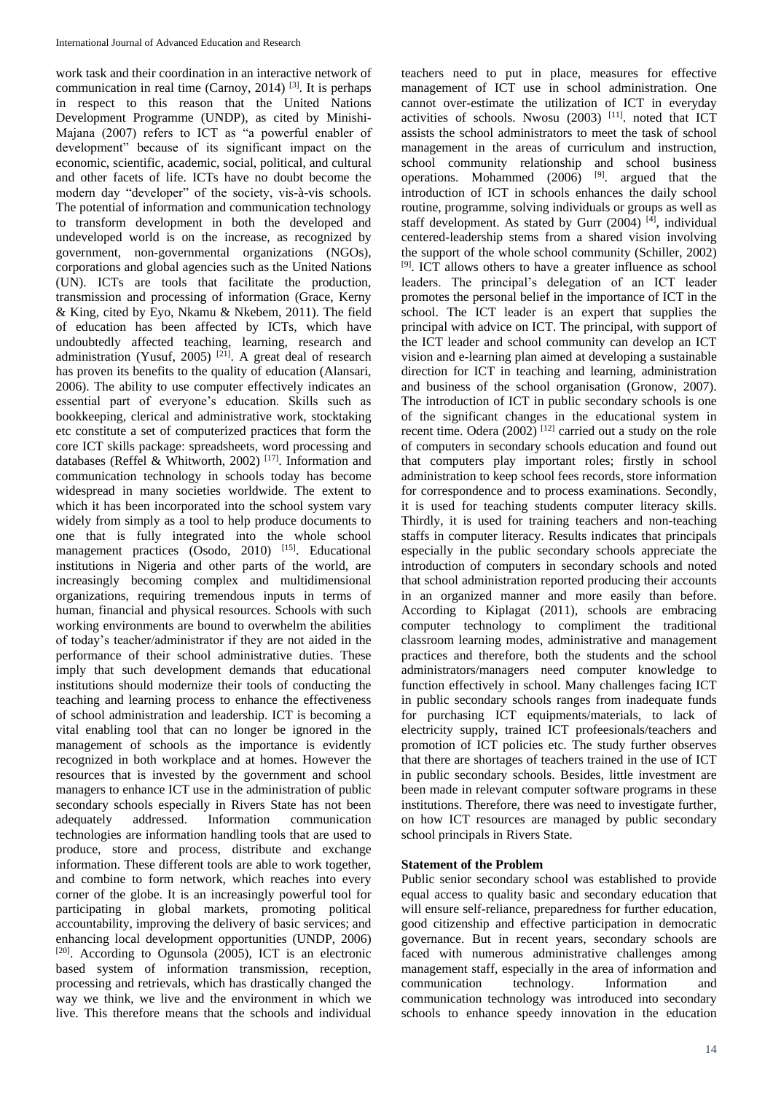work task and their coordination in an interactive network of communication in real time (Carnoy, 2014)  $^{[3]}$ . It is perhaps in respect to this reason that the United Nations Development Programme (UNDP), as cited by Minishi-Majana (2007) refers to ICT as "a powerful enabler of development" because of its significant impact on the economic, scientific, academic, social, political, and cultural and other facets of life. ICTs have no doubt become the modern day "developer" of the society, vis-à-vis schools. The potential of information and communication technology to transform development in both the developed and undeveloped world is on the increase, as recognized by government, non-governmental organizations (NGOs), corporations and global agencies such as the United Nations (UN). ICTs are tools that facilitate the production, transmission and processing of information (Grace, Kerny & King, cited by Eyo, Nkamu & Nkebem, 2011). The field of education has been affected by ICTs, which have undoubtedly affected teaching, learning, research and administration (Yusuf, 2005)<sup>[21]</sup>. A great deal of research has proven its benefits to the quality of education (Alansari, 2006). The ability to use computer effectively indicates an essential part of everyone's education. Skills such as bookkeeping, clerical and administrative work, stocktaking etc constitute a set of computerized practices that form the core ICT skills package: spreadsheets, word processing and databases (Reffel & Whitworth, 2002)<sup>[17]</sup>. Information and communication technology in schools today has become widespread in many societies worldwide. The extent to which it has been incorporated into the school system vary widely from simply as a tool to help produce documents to one that is fully integrated into the whole school management practices (Osodo, 2010)<sup>[15]</sup>. Educational institutions in Nigeria and other parts of the world, are increasingly becoming complex and multidimensional organizations, requiring tremendous inputs in terms of human, financial and physical resources. Schools with such working environments are bound to overwhelm the abilities of today's teacher/administrator if they are not aided in the performance of their school administrative duties. These imply that such development demands that educational institutions should modernize their tools of conducting the teaching and learning process to enhance the effectiveness of school administration and leadership. ICT is becoming a vital enabling tool that can no longer be ignored in the management of schools as the importance is evidently recognized in both workplace and at homes. However the resources that is invested by the government and school managers to enhance ICT use in the administration of public secondary schools especially in Rivers State has not been adequately addressed. Information communication technologies are information handling tools that are used to produce, store and process, distribute and exchange information. These different tools are able to work together, and combine to form network, which reaches into every corner of the globe. It is an increasingly powerful tool for participating in global markets, promoting political accountability, improving the delivery of basic services; and enhancing local development opportunities (UNDP, 2006) [20]. According to Ogunsola (2005), ICT is an electronic based system of information transmission, reception, processing and retrievals, which has drastically changed the way we think, we live and the environment in which we live. This therefore means that the schools and individual

teachers need to put in place, measures for effective management of ICT use in school administration. One cannot over-estimate the utilization of ICT in everyday activities of schools. Nwosu (2003) [11]. noted that ICT assists the school administrators to meet the task of school management in the areas of curriculum and instruction, school community relationship and school business operations. Mohammed  $(2006)$  <sup>[9]</sup>, argued that the introduction of ICT in schools enhances the daily school routine, programme, solving individuals or groups as well as staff development. As stated by Gurr (2004) [4], individual centered-leadership stems from a shared vision involving the support of the whole school community (Schiller, 2002) [9]. ICT allows others to have a greater influence as school leaders. The principal's delegation of an ICT leader promotes the personal belief in the importance of ICT in the school. The ICT leader is an expert that supplies the principal with advice on ICT. The principal, with support of the ICT leader and school community can develop an ICT vision and e-learning plan aimed at developing a sustainable direction for ICT in teaching and learning, administration and business of the school organisation (Gronow, 2007). The introduction of ICT in public secondary schools is one of the significant changes in the educational system in recent time. Odera (2002) <sup>[12]</sup> carried out a study on the role of computers in secondary schools education and found out that computers play important roles; firstly in school administration to keep school fees records, store information for correspondence and to process examinations. Secondly, it is used for teaching students computer literacy skills. Thirdly, it is used for training teachers and non-teaching staffs in computer literacy. Results indicates that principals especially in the public secondary schools appreciate the introduction of computers in secondary schools and noted that school administration reported producing their accounts in an organized manner and more easily than before. According to Kiplagat (2011), schools are embracing computer technology to compliment the traditional classroom learning modes, administrative and management practices and therefore, both the students and the school administrators/managers need computer knowledge to function effectively in school. Many challenges facing ICT in public secondary schools ranges from inadequate funds for purchasing ICT equipments/materials, to lack of electricity supply, trained ICT profeesionals/teachers and promotion of ICT policies etc. The study further observes that there are shortages of teachers trained in the use of ICT in public secondary schools. Besides, little investment are been made in relevant computer software programs in these institutions. Therefore, there was need to investigate further, on how ICT resources are managed by public secondary school principals in Rivers State.

## **Statement of the Problem**

Public senior secondary school was established to provide equal access to quality basic and secondary education that will ensure self-reliance, preparedness for further education, good citizenship and effective participation in democratic governance. But in recent years, secondary schools are faced with numerous administrative challenges among management staff, especially in the area of information and communication technology. Information and communication technology was introduced into secondary schools to enhance speedy innovation in the education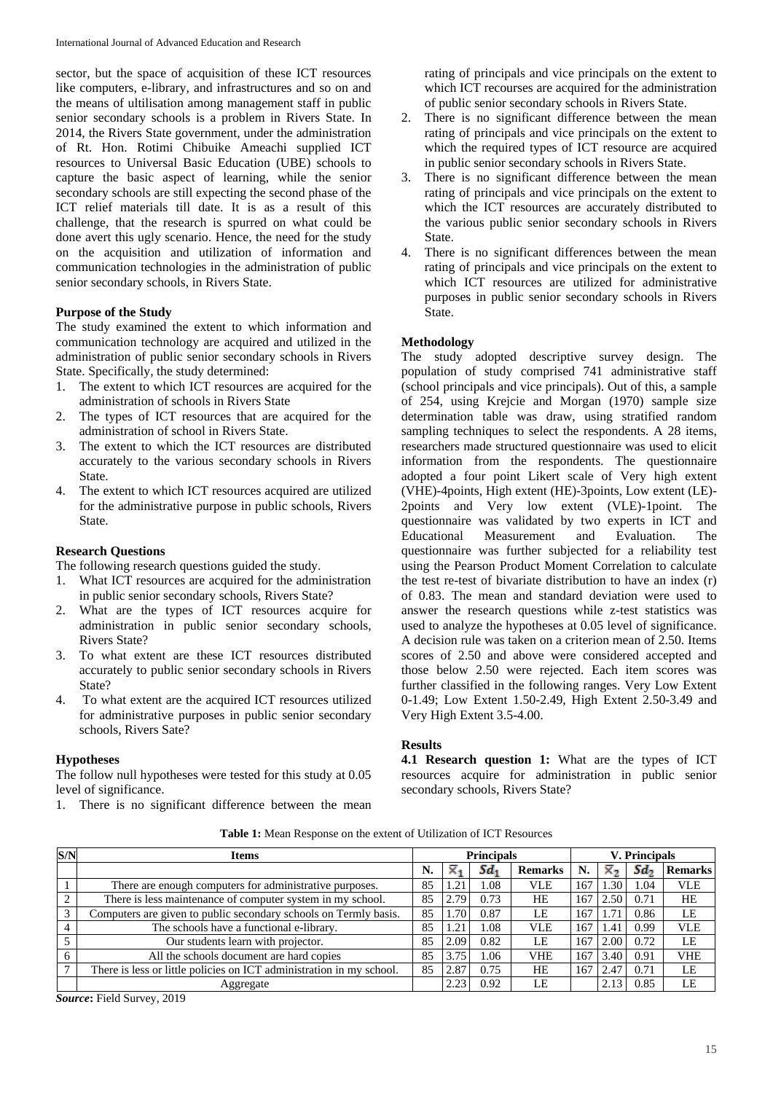sector, but the space of acquisition of these ICT resources like computers, e-library, and infrastructures and so on and the means of ultilisation among management staff in public senior secondary schools is a problem in Rivers State. In 2014, the Rivers State government, under the administration of Rt. Hon. Rotimi Chibuike Ameachi supplied ICT resources to Universal Basic Education (UBE) schools to capture the basic aspect of learning, while the senior secondary schools are still expecting the second phase of the ICT relief materials till date. It is as a result of this challenge, that the research is spurred on what could be done avert this ugly scenario. Hence, the need for the study on the acquisition and utilization of information and communication technologies in the administration of public senior secondary schools, in Rivers State.

### **Purpose of the Study**

The study examined the extent to which information and communication technology are acquired and utilized in the administration of public senior secondary schools in Rivers State. Specifically, the study determined:

- 1. The extent to which ICT resources are acquired for the administration of schools in Rivers State
- 2. The types of ICT resources that are acquired for the administration of school in Rivers State.
- 3. The extent to which the ICT resources are distributed accurately to the various secondary schools in Rivers State.
- 4. The extent to which ICT resources acquired are utilized for the administrative purpose in public schools, Rivers State.

# **Research Questions**

The following research questions guided the study.

- 1. What ICT resources are acquired for the administration in public senior secondary schools, Rivers State?
- 2. What are the types of ICT resources acquire for administration in public senior secondary schools, Rivers State?
- 3. To what extent are these ICT resources distributed accurately to public senior secondary schools in Rivers State?
- 4. To what extent are the acquired ICT resources utilized for administrative purposes in public senior secondary schools, Rivers Sate?

## **Hypotheses**

The follow null hypotheses were tested for this study at 0.05 level of significance.

1. There is no significant difference between the mean

rating of principals and vice principals on the extent to which ICT recourses are acquired for the administration of public senior secondary schools in Rivers State.

- 2. There is no significant difference between the mean rating of principals and vice principals on the extent to which the required types of ICT resource are acquired in public senior secondary schools in Rivers State.
- 3. There is no significant difference between the mean rating of principals and vice principals on the extent to which the ICT resources are accurately distributed to the various public senior secondary schools in Rivers State.
- 4. There is no significant differences between the mean rating of principals and vice principals on the extent to which ICT resources are utilized for administrative purposes in public senior secondary schools in Rivers State.

### **Methodology**

The study adopted descriptive survey design. The population of study comprised 741 administrative staff (school principals and vice principals). Out of this, a sample of 254, using Krejcie and Morgan (1970) sample size determination table was draw, using stratified random sampling techniques to select the respondents. A 28 items, researchers made structured questionnaire was used to elicit information from the respondents. The questionnaire adopted a four point Likert scale of Very high extent (VHE)-4points, High extent (HE)-3points, Low extent (LE)- 2points and Very low extent (VLE)-1point. The questionnaire was validated by two experts in ICT and Educational Measurement and Evaluation. The questionnaire was further subjected for a reliability test using the Pearson Product Moment Correlation to calculate the test re-test of bivariate distribution to have an index (r) of 0.83. The mean and standard deviation were used to answer the research questions while z-test statistics was used to analyze the hypotheses at 0.05 level of significance. A decision rule was taken on a criterion mean of 2.50. Items scores of 2.50 and above were considered accepted and those below 2.50 were rejected. Each item scores was further classified in the following ranges. Very Low Extent 0-1.49; Low Extent 1.50-2.49, High Extent 2.50-3.49 and Very High Extent 3.5-4.00.

#### **Results**

**4.1 Research question 1:** What are the types of ICT resources acquire for administration in public senior secondary schools, Rivers State?

|  | Table 1: Mean Response on the extent of Utilization of ICT Resources |  |  |
|--|----------------------------------------------------------------------|--|--|
|--|----------------------------------------------------------------------|--|--|

| S/N       | <b>Items</b>                                                         |    |               | <b>Principals</b> |                | <b>V.</b> Principals |      |      |                |
|-----------|----------------------------------------------------------------------|----|---------------|-------------------|----------------|----------------------|------|------|----------------|
|           |                                                                      | N. |               | Sd.               | <b>Remarks</b> | N.                   | ×    | Sd., | <b>Remarks</b> |
|           | There are enough computers for administrative purposes.              | 85 |               | 1.08              | VLE            | 167                  | .30  | 1.04 | VLE            |
| $\bigcap$ | There is less maintenance of computer system in my school.           | 85 | 2.79          | 0.73              | HE             | 167                  | 2.50 | 0.71 | HE             |
| 3         | Computers are given to public secondary schools on Termly basis.     | 85 | $.70^{\circ}$ | 0.87              | LE             | 167                  | .71  | 0.86 | LE             |
|           | The schools have a functional e-library.                             | 85 | $\cdot$ 2'    | 1.08              | VLE            | 167                  | .41  | 0.99 | <b>VLE</b>     |
|           | Our students learn with projector.                                   | 85 | 2.09          | 0.82              | LE             | 167                  | 2.00 | 0.72 | LE             |
|           | All the schools document are hard copies                             | 85 | 3.75          | 1.06              | <b>VHE</b>     | 167                  | 3.40 | 0.91 | <b>VHE</b>     |
|           | There is less or little policies on ICT administration in my school. | 85 | 2.87          | 0.75              | <b>HE</b>      | 167                  | 2.47 | 0.71 | LE             |
|           | Aggregate                                                            |    |               | 0.92              | LE             |                      |      | 0.85 | LE             |

*Source***:** Field Survey, 2019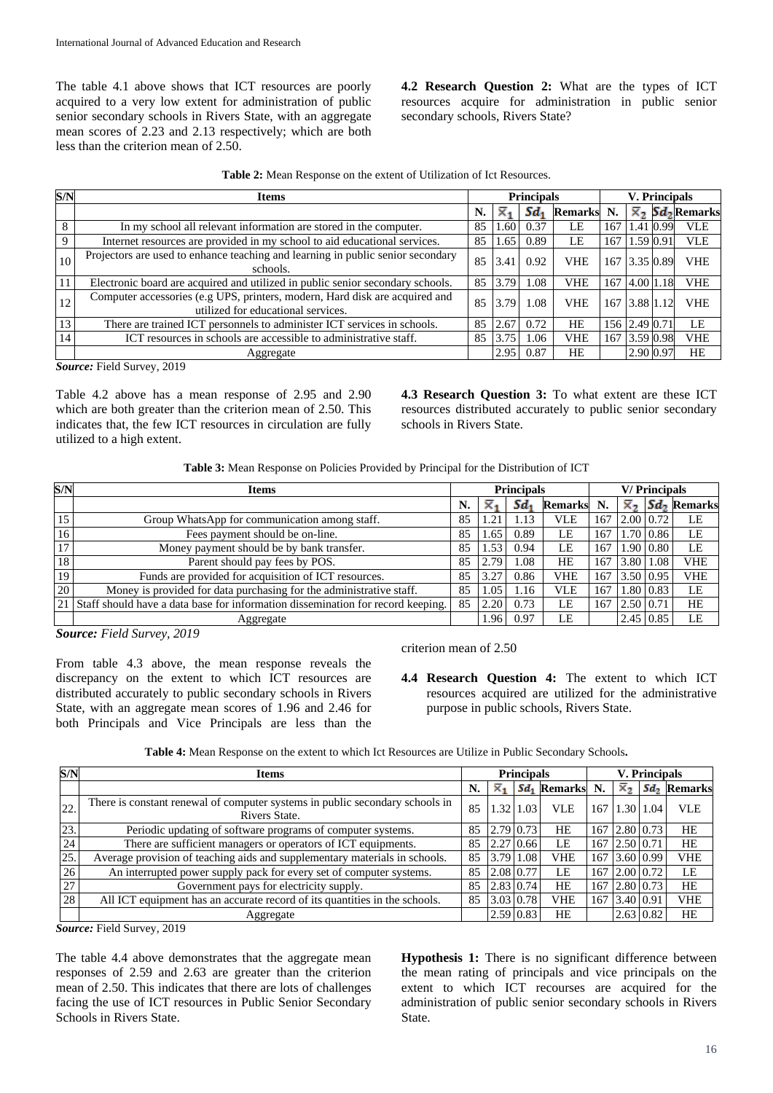The table 4.1 above shows that ICT resources are poorly acquired to a very low extent for administration of public senior secondary schools in Rivers State, with an aggregate mean scores of 2.23 and 2.13 respectively; which are both less than the criterion mean of 2.50.

**4.2 Research Question 2:** What are the types of ICT resources acquire for administration in public senior secondary schools, Rivers State?

| S/N         | <b>Items</b>                                                                                                      |    |      | <b>Principals</b> |                | <b>V.</b> Principals |               |  |                                               |
|-------------|-------------------------------------------------------------------------------------------------------------------|----|------|-------------------|----------------|----------------------|---------------|--|-----------------------------------------------|
|             |                                                                                                                   | N. | ×.   | Sd.               | <b>Remarks</b> | N.                   |               |  | $\overline{\times}_2$ Sd <sub>2</sub> Remarks |
| 8           | In my school all relevant information are stored in the computer.                                                 | 85 | 1.60 | 0.37              | LE             | 167                  | 1.41 0.99     |  | <b>VLE</b>                                    |
| $\mathbf Q$ | Internet resources are provided in my school to aid educational services.                                         | 85 | 1.65 | 0.89              | LE             | 167                  | 1.59 0.91     |  | <b>VLE</b>                                    |
| 10          | Projectors are used to enhance teaching and learning in public senior secondary<br>schools.                       | 85 | 3.41 | 0.92              | <b>VHE</b>     |                      | 167 3.35 0.89 |  | <b>VHE</b>                                    |
| 11          | Electronic board are acquired and utilized in public senior secondary schools.                                    | 85 | 3.79 | 1.08              | VHE            | 167                  | 14.0011.18    |  | <b>VHE</b>                                    |
| 12          | Computer accessories (e.g UPS, printers, modern, Hard disk are acquired and<br>utilized for educational services. | 85 | 3.79 | 1.08              | VHE            |                      | 167 3.88 1.12 |  | <b>VHE</b>                                    |
| 13          | There are trained ICT personnels to administer ICT services in schools.                                           | 85 | 2.67 | 0.72              | HE             |                      | 156 2.49 0.71 |  | LE                                            |
| 14          | ICT resources in schools are accessible to administrative staff.                                                  | 85 | 3.75 | 1.06              | VHE            |                      | 167 3.59 0.98 |  | <b>VHE</b>                                    |
|             | Aggregate                                                                                                         |    | 2.95 | 0.87              | HE             |                      | 2.90 0.97     |  | HE                                            |

*Source:* Field Survey, 2019

Table 4.2 above has a mean response of 2.95 and 2.90 which are both greater than the criterion mean of 2.50. This indicates that, the few ICT resources in circulation are fully utilized to a high extent.

**4.3 Research Question 3:** To what extent are these ICT resources distributed accurately to public senior secondary schools in Rivers State.

**Table 3:** Mean Response on Policies Provided by Principal for the Distribution of ICT

| S/N | <b>Items</b>                                                                       |    |      | <b>Principals</b> |                | <b>V/Principals</b> |                     |                             |               |  |
|-----|------------------------------------------------------------------------------------|----|------|-------------------|----------------|---------------------|---------------------|-----------------------------|---------------|--|
|     |                                                                                    | N. |      | Sd.               | <b>Remarks</b> | N.                  | Σ,                  |                             | $Sd2$ Remarks |  |
| 15  | Group WhatsApp for communication among staff.                                      | 85 |      | 1.13              | VLE            | 167                 | $2.00 \mid 0.72$    |                             | LE            |  |
| 16  | Fees payment should be on-line.                                                    | 85 | 1.65 | 0.89              | LE             | 167                 |                     | $1.70 \,   \, 0.86 \,  $    | LE            |  |
| 17  | Money payment should be by bank transfer.                                          | 85 | .53  | 0.94              | LE             | 167                 |                     | $1.90 \,   \, 0.80 \,   \,$ | LE            |  |
| 18  | Parent should pay fees by POS.                                                     | 85 | 2.79 | .08               | HE             | 167                 | 3.80                | 1.08                        | <b>VHE</b>    |  |
| 19  | Funds are provided for acquisition of ICT resources.                               | 85 | 3.27 | 0.86              | VHE            | 167                 | $3.50 \, 0.95$      |                             | <b>VHE</b>    |  |
| 20  | Money is provided for data purchasing for the administrative staff.                | 85 | 1.05 | 1.16              | <b>VLE</b>     | 167                 | 1.80 0.83           |                             | LE            |  |
|     | 21 Staff should have a data base for information dissemination for record keeping. | 85 | 2.20 | 0.73              | LE             | 167                 | 2.50 0.71           |                             | <b>HE</b>     |  |
|     | Aggregate                                                                          |    | .96  | 0.97              | LE             |                     | $2.45 \,   \, 0.85$ |                             | LE            |  |

*Source: Field Survey, 2019*

From table 4.3 above, the mean response reveals the discrepancy on the extent to which ICT resources are distributed accurately to public secondary schools in Rivers State, with an aggregate mean scores of 1.96 and 2.46 for both Principals and Vice Principals are less than the

#### criterion mean of 2.50

**4.4 Research Question 4:** The extent to which ICT resources acquired are utilized for the administrative purpose in public schools, Rivers State.

| <b>Table 4:</b> Mean Response on the extent to which Ict Resources are Utilize in Public Secondary Schools. |
|-------------------------------------------------------------------------------------------------------------|
|-------------------------------------------------------------------------------------------------------------|

| S/N | <b>Items</b>                                                                                  |    |                           | <b>Principals</b> |                               | <b>V.</b> Principals |              |                          |               |  |
|-----|-----------------------------------------------------------------------------------------------|----|---------------------------|-------------------|-------------------------------|----------------------|--------------|--------------------------|---------------|--|
|     |                                                                                               | N. | $\overline{\mathsf{x}}_1$ |                   | <b>Sd<sub>1</sub></b> Remarks | N.                   | $\times$     |                          | $Sd2$ Remarks |  |
| 22. | There is constant renewal of computer systems in public secondary schools in<br>Rivers State. | 85 | .32                       | 1.03              | VLE                           | 167                  |              | $1.30 \,   \, 1.04 \,  $ | <b>VLE</b>    |  |
| 23  | Periodic updating of software programs of computer systems.                                   | 85 | 2.79 0.73                 |                   | HE                            | 167                  |              | $2.80\,0.73$             | HE            |  |
| 24  | There are sufficient managers or operators of ICT equipments.                                 | 85 | 2.27 0.66                 |                   | LE                            | 167                  | $2.50\,0.71$ |                          | HE            |  |
| 25. | Average provision of teaching aids and supplementary materials in schools.                    | 85 | 3.79 1.08                 |                   | VHE                           | 167                  |              | 3.60 0.99                | <b>VHE</b>    |  |
| 26  | An interrupted power supply pack for every set of computer systems.                           | 85 | 2.08 0.77                 |                   | LE                            | 167                  |              | $2.00 \, 0.72$           | LE            |  |
| 27  | Government pays for electricity supply.                                                       | 85 | 2.83 0.74                 |                   | HE                            | 167                  |              | 2.80 0.73                | HE            |  |
| 28  | All ICT equipment has an accurate record of its quantities in the schools.                    | 85 | 3.03 0.78                 |                   | VHE                           | 167                  | 13.4010.91   |                          | <b>VHE</b>    |  |
|     | Aggregate                                                                                     |    | 2.59 0.83                 |                   | HE                            |                      |              | $2.63 \, 0.82$           | HE            |  |

*Source:* Field Survey, 2019

The table 4.4 above demonstrates that the aggregate mean responses of 2.59 and 2.63 are greater than the criterion mean of 2.50. This indicates that there are lots of challenges facing the use of ICT resources in Public Senior Secondary Schools in Rivers State.

**Hypothesis 1:** There is no significant difference between the mean rating of principals and vice principals on the extent to which ICT recourses are acquired for the administration of public senior secondary schools in Rivers State.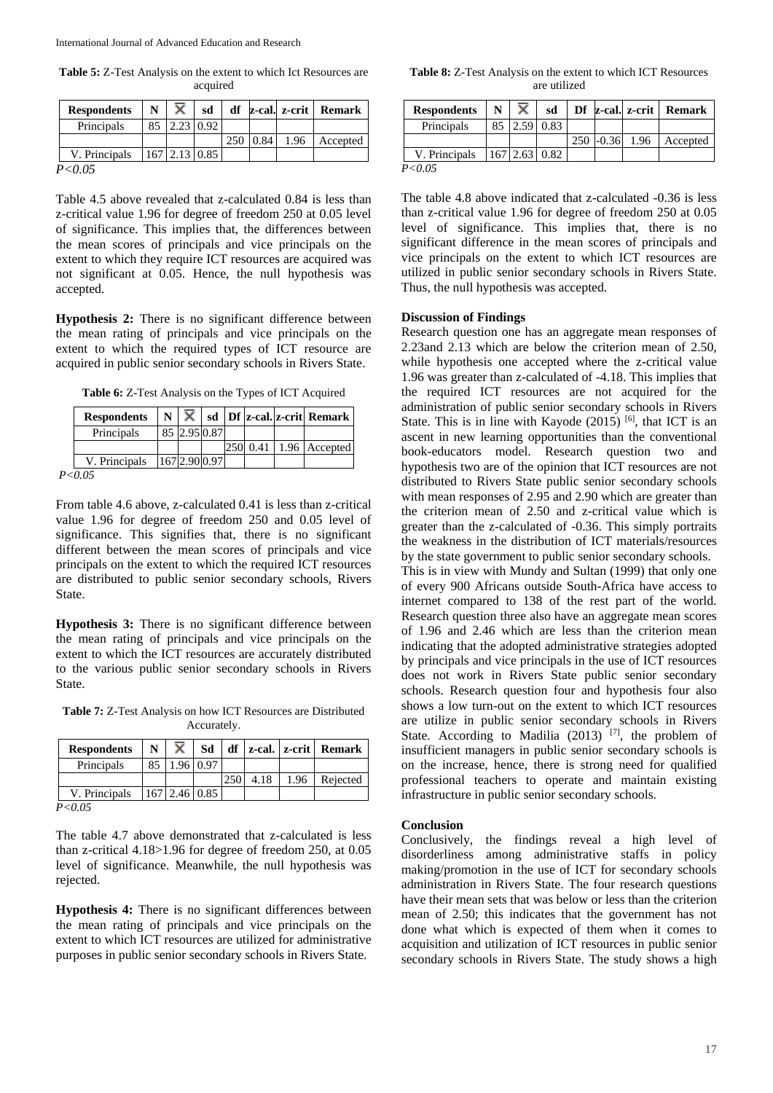**Table 5:** Z-Test Analysis on the extent to which Ict Resources are acquired

| <b>Respondents</b> | N  | ×                   | sd | df  |      |      | z-cal. z-crit Remark |
|--------------------|----|---------------------|----|-----|------|------|----------------------|
| Principals         | 85 | $2.23 \mid 0.92$    |    |     |      |      |                      |
|                    |    |                     |    | 250 | 0.84 | 1.96 | Accepted             |
| V. Principals      |    | $167$   2.13   0.85 |    |     |      |      |                      |
| P < 0.05           |    |                     |    |     |      |      |                      |

Table 4.5 above revealed that z-calculated 0.84 is less than z-critical value 1.96 for degree of freedom 250 at 0.05 level of significance. This implies that, the differences between the mean scores of principals and vice principals on the extent to which they require ICT resources are acquired was not significant at 0.05. Hence, the null hypothesis was accepted.

**Hypothesis 2:** There is no significant difference between the mean rating of principals and vice principals on the extent to which the required types of ICT resource are acquired in public senior secondary schools in Rivers State.

**Table 6:** Z-Test Analysis on the Types of ICT Acquired

| <b>Respondents</b>     |               |  |          | $N \mid \overline{X} \mid sd \mid Df \mid z\text{-cal}. \mid z\text{-crit}$ Remark |
|------------------------|---------------|--|----------|------------------------------------------------------------------------------------|
| Principals             | 85 2.95 0.87  |  |          |                                                                                    |
|                        |               |  | 250 0.41 | 1.96 Accepted                                                                      |
| V. Principals          | 167 2.90 0.97 |  |          |                                                                                    |
| $\Delta$ $\sim$ $\sim$ |               |  |          |                                                                                    |

*P<0.05*

From table 4.6 above, z-calculated 0.41 is less than z-critical value 1.96 for degree of freedom 250 and 0.05 level of significance. This signifies that, there is no significant different between the mean scores of principals and vice principals on the extent to which the required ICT resources are distributed to public senior secondary schools, Rivers State.

**Hypothesis 3:** There is no significant difference between the mean rating of principals and vice principals on the extent to which the ICT resources are accurately distributed to the various public senior secondary schools in Rivers State.

**Table 7:** Z-Test Analysis on how ICT Resources are Distributed Accurately.

| <b>Respondents</b> | N  | ×. | Sd              |     |      |      | $df$   z-cal.   z-crit   Remark |
|--------------------|----|----|-----------------|-----|------|------|---------------------------------|
| Principals         | 85 |    | 1.96 0.97       |     |      |      |                                 |
|                    |    |    |                 | 250 | 4.18 | 1.96 | Rejected                        |
| V. Principals      |    |    | $167$ 2.46 0.85 |     |      |      |                                 |

*P<0.05*

The table 4.7 above demonstrated that z-calculated is less than z-critical 4.18>1.96 for degree of freedom 250, at 0.05 level of significance. Meanwhile, the null hypothesis was rejected.

**Hypothesis 4:** There is no significant differences between the mean rating of principals and vice principals on the extent to which ICT resources are utilized for administrative purposes in public senior secondary schools in Rivers State.

**Table 8:** Z-Test Analysis on the extent to which ICT Resources are utilized

| <b>Respondents</b> | N  |      | sd              |         |      | Df z-cal. z-crit   Remark |
|--------------------|----|------|-----------------|---------|------|---------------------------|
| Principals         | 85 | 2.59 | 0.83            |         |      |                           |
|                    |    |      |                 | $-0.36$ | 1.96 | Accepted                  |
| V. Principals      |    |      | $167$ 2.63 0.82 |         |      |                           |
| P ⁄ 0 05           |    |      |                 |         |      |                           |

*P<0.05*

The table 4.8 above indicated that z-calculated -0.36 is less than z-critical value 1.96 for degree of freedom 250 at 0.05 level of significance. This implies that, there is no significant difference in the mean scores of principals and vice principals on the extent to which ICT resources are utilized in public senior secondary schools in Rivers State. Thus, the null hypothesis was accepted.

## **Discussion of Findings**

Research question one has an aggregate mean responses of 2.23and 2.13 which are below the criterion mean of 2.50, while hypothesis one accepted where the z-critical value 1.96 was greater than z-calculated of -4.18. This implies that the required ICT resources are not acquired for the administration of public senior secondary schools in Rivers State. This is in line with Kayode  $(2015)$  <sup>[6]</sup>, that ICT is an ascent in new learning opportunities than the conventional book-educators model. Research question two and hypothesis two are of the opinion that ICT resources are not distributed to Rivers State public senior secondary schools with mean responses of 2.95 and 2.90 which are greater than the criterion mean of 2.50 and z-critical value which is greater than the z-calculated of -0.36. This simply portraits the weakness in the distribution of ICT materials/resources by the state government to public senior secondary schools. This is in view with Mundy and Sultan (1999) that only one of every 900 Africans outside South-Africa have access to internet compared to 138 of the rest part of the world. Research question three also have an aggregate mean scores of 1.96 and 2.46 which are less than the criterion mean indicating that the adopted administrative strategies adopted by principals and vice principals in the use of ICT resources does not work in Rivers State public senior secondary schools. Research question four and hypothesis four also shows a low turn-out on the extent to which ICT resources are utilize in public senior secondary schools in Rivers State. According to Madilia  $(2013)$ <sup>[7]</sup>, the problem of insufficient managers in public senior secondary schools is on the increase, hence, there is strong need for qualified professional teachers to operate and maintain existing infrastructure in public senior secondary schools.

## **Conclusion**

Conclusively, the findings reveal a high level of disorderliness among administrative staffs in policy making/promotion in the use of ICT for secondary schools administration in Rivers State. The four research questions have their mean sets that was below or less than the criterion mean of 2.50; this indicates that the government has not done what which is expected of them when it comes to acquisition and utilization of ICT resources in public senior secondary schools in Rivers State. The study shows a high